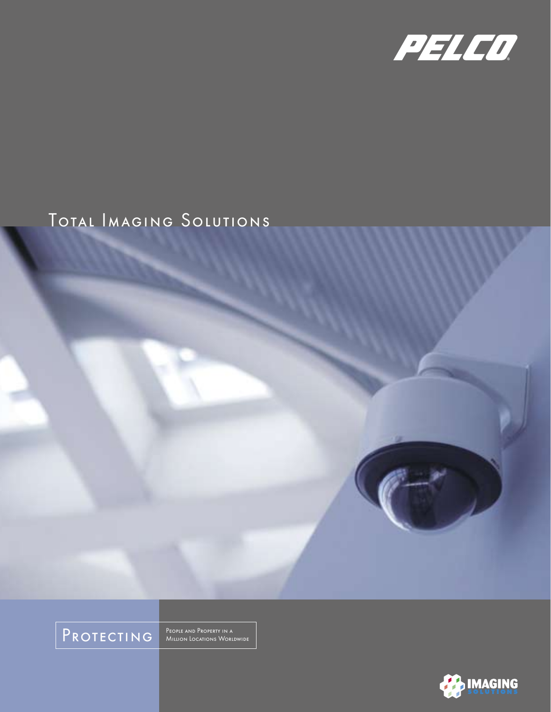

### Total Imaging Solutions



People and Property in a<br>Million Locations Worldwide

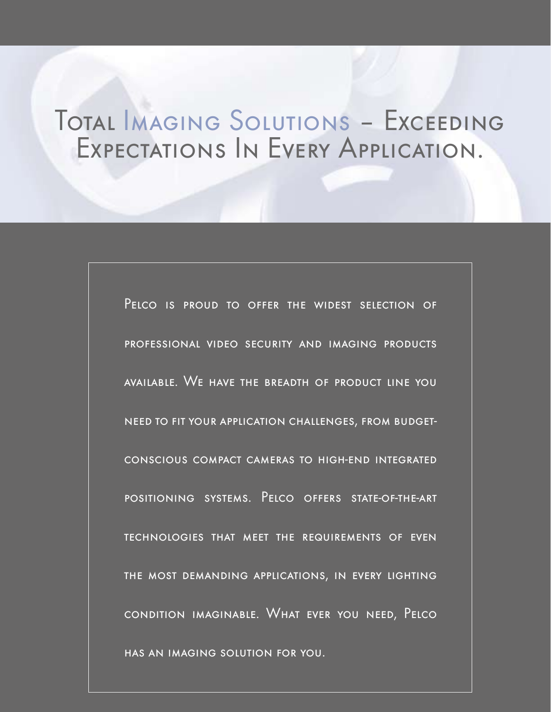# Total Imaging Solutions – Exceeding Expectations In Every Application.

Pelco is proud to offer the widest selection of professional video security and imaging products available. We have the breadth of product line you need to fit your application challenges, from budgetconscious compact cameras to high-end integrated positioning systems. Pelco offers state-of-the-art technologies that meet the requirements of even the most demanding applications, in every lighting condition imaginable. What ever you need, Pelco has an imaging solution for you.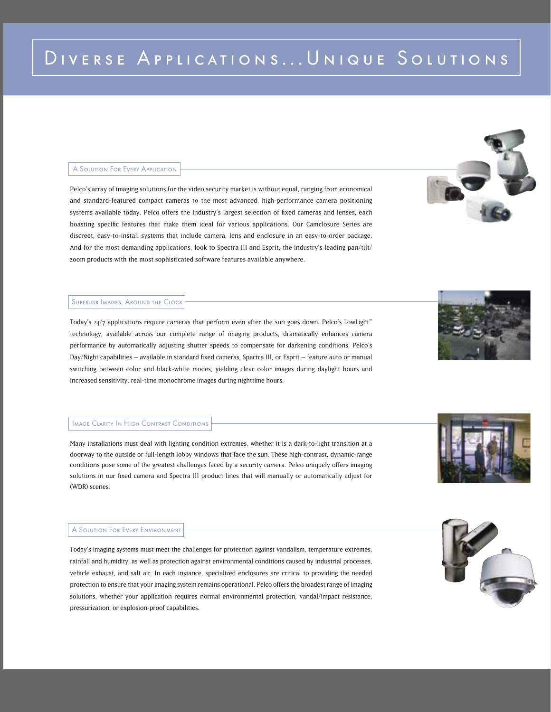## DIVERSE APPLICATIONS... UNIQUE SOLUTIONS

#### A Solution For Every Application

Pelco's array of imaging solutions for the video security market is without equal, ranging from economical and standard-featured compact cameras to the most advanced, high-performance camera positioning systems available today. Pelco offers the industry's largest selection of fixed cameras and lenses, each boasting specific features that make them ideal for various applications. Our Camclosure Series are discreet, easy-to-install systems that include camera, lens and enclosure in an easy-to-order package. And for the most demanding applications, look to Spectra III and Esprit, the industry's leading pan/tilt/ zoom products with the most sophisticated software features available anywhere.

#### Superior Images, Around the Clock

Today's 24/7 applications require cameras that perform even after the sun goes down. Pelco's LowLight™ technology, available across our complete range of imaging products, dramatically enhances camera performance by automatically adjusting shutter speeds to compensate for darkening conditions. Pelco's Day/Night capabilities – available in standard fixed cameras, Spectra III, or Esprit – feature auto or manual switching between color and black-white modes, yielding clear color images during daylight hours and increased sensitivity, real-time monochrome images during nighttime hours.

#### Image Clarity In High Contrast Conditions

Many installations must deal with lighting condition extremes, whether it is a dark-to-light transition at a doorway to the outside or full-length lobby windows that face the sun. These high-contrast, dynamic-range conditions pose some of the greatest challenges faced by a security camera. Pelco uniquely offers imaging solutions in our fixed camera and Spectra III product lines that will manually or automatically adjust for (WDR) scenes.

#### A Solution For Every Environment

Today's imaging systems must meet the challenges for protection against vandalism, temperature extremes, rainfall and humidity, as well as protection against environmental conditions caused by industrial processes, vehicle exhaust, and salt air. In each instance, specialized enclosures are critical to providing the needed protection to ensure that your imaging system remains operational. Pelco offers the broadest range of imaging solutions, whether your application requires normal environmental protection, vandal/impact resistance, pressurization, or explosion-proof capabilities.





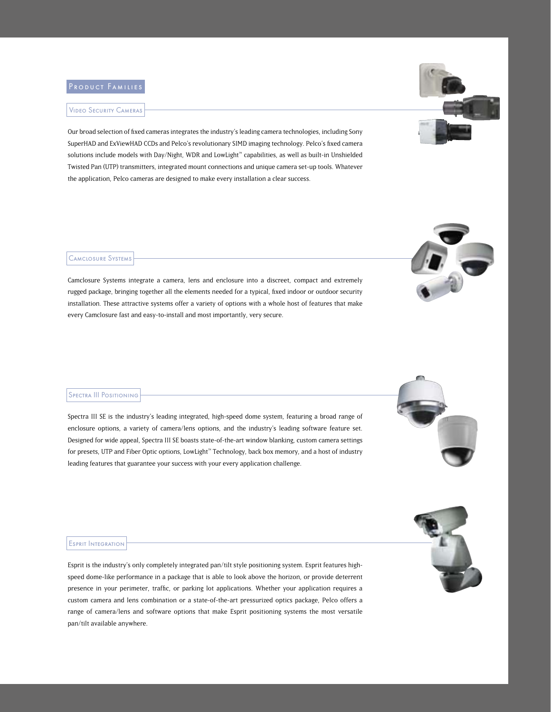#### Video Security Cameras

Our broad selection of fixed cameras integrates the industry's leading camera technologies, including Sony SuperHAD and ExViewHAD CCDs and Pelco's revolutionary SIMD imaging technology. Pelco's fixed camera solutions include models with Day/Night, WDR and LowLight™ capabilities, as well as built-in Unshielded Twisted Pan (UTP) transmitters, integrated mount connections and unique camera set-up tools. Whatever the application, Pelco cameras are designed to make every installation a clear success.

#### Camclosure Systems

Camclosure Systems integrate a camera, lens and enclosure into a discreet, compact and extremely rugged package, bringing together all the elements needed for a typical, fixed indoor or outdoor security installation. These attractive systems offer a variety of options with a whole host of features that make every Camclosure fast and easy-to-install and most importantly, very secure.

#### Spectra III Positioning

Spectra III SE is the industry's leading integrated, high-speed dome system, featuring a broad range of enclosure options, a variety of camera/lens options, and the industry's leading software feature set. Designed for wide appeal, Spectra III SE boasts state-of-the-art window blanking, custom camera settings for presets, UTP and Fiber Optic options, LowLight™ Technology, back box memory, and a host of industry leading features that guarantee your success with your every application challenge.

#### Esprit Integration

Esprit is the industry's only completely integrated pan/tilt style positioning system. Esprit features highspeed dome-like performance in a package that is able to look above the horizon, or provide deterrent presence in your perimeter, traffic, or parking lot applications. Whether your application requires a custom camera and lens combination or a state-of-the-art pressurized optics package, Pelco offers a range of camera/lens and software options that make Esprit positioning systems the most versatile pan/tilt available anywhere.









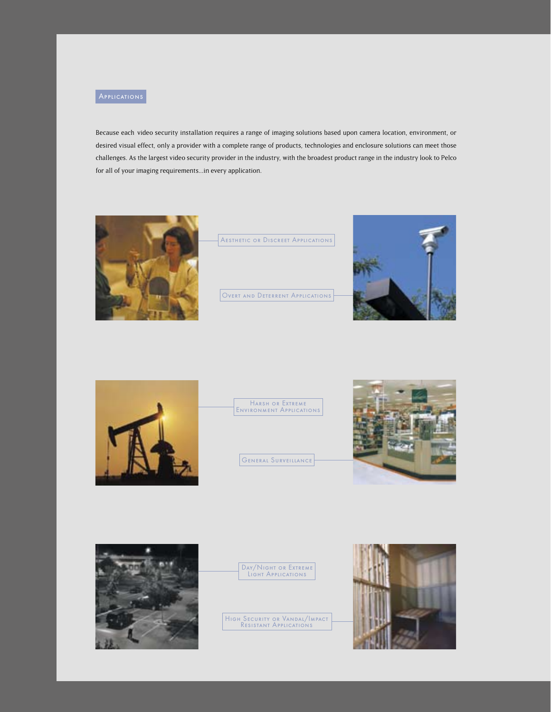

Because each video security installation requires a range of imaging solutions based upon camera location, environment, or desired visual effect, only a provider with a complete range of products, technologies and enclosure solutions can meet those challenges. As the largest video security provider in the industry, with the broadest product range in the industry look to Pelco for all of your imaging requirements...in every application.



Aesthetic or Discreet Applications

Overt and Deterrent Applications





Harsh or Extreme Environment Applications

General Surveillance